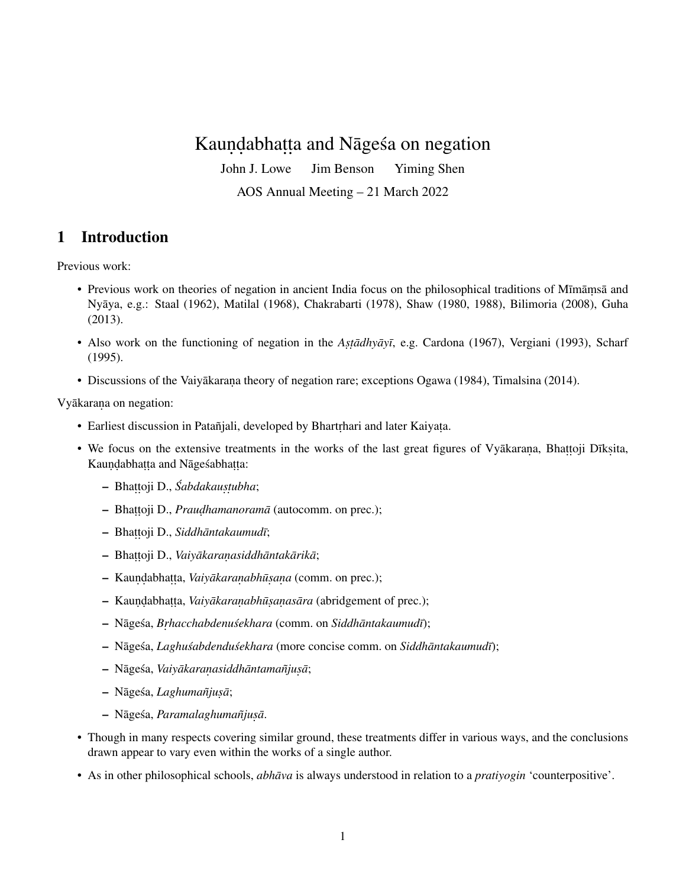# Kauṇḍabhaṭṭa and Nāgeśa on negation

John J. Lowe Jim Benson Yiming Shen

AOS Annual Meeting – 21 March 2022

### 1 Introduction

Previous work:

- Previous work on theories of negation in ancient India focus on the philosophical traditions of Mīmāmsā and Nyaya, e.g.: [Staal](#page-4-0) [\(1962\)](#page-4-0), [Matilal](#page-3-0) [\(1968\)](#page-3-0), [Chakrabarti](#page-3-1) [\(1978\)](#page-3-1), [Shaw](#page-3-2) [\(1980,](#page-3-2) [1988\)](#page-4-1), [Bilimoria](#page-3-3) [\(2008\)](#page-3-3), [Guha](#page-3-4) ¯ [\(2013\)](#page-3-4).
- Also work on the functioning of negation in the *Astadhyayī*, e.g. [Cardona](#page-3-5) [\(1967\)](#page-3-5), [Vergiani](#page-4-2) [\(1993\)](#page-4-2), [Scharf](#page-3-6) [\(1995\)](#page-3-6).
- Discussions of the Vaiyākaraṇa theory of negation rare; exceptions [Ogawa](#page-3-7) [\(1984\)](#page-3-7), [Timalsina](#page-4-3) [\(2014\)](#page-4-3).

Vyākarana on negation:

- Earliest discussion in Patañjali, developed by Bhartrhari and later Kaiyata.
- We focus on the extensive treatments in the works of the last great figures of Vyākaraṇa, Bhaṭṭoji Dīkṣita, Kauṇḍabhaṭṭa and Nāgeśabhaṭṭa:
	- Bhaṭṭoji D., *Śabdakauṣṭubha*;
	- Bhattoji D., *Praudhamanoramā* (autocomm. on prec.);
	- Bhat . t .oji D., *Siddhantakaumud ¯ ¯ı*;
	- Bhat . t .oji D., *Vaiyakaran ¯ . asiddhantak ¯ arik ¯ a¯*;
	- Kauṇḍabhaṭṭa, *Vaiyākaraṇabhūṣaṇa* (comm. on prec.);
	- Kaundabhatta, *Vaiyākaraṇabhūṣaṇasāra* (abridgement of prec.);
	- $-$  Nāgeśa, *Brhacchabdenuśekhara* (comm. on *Siddhāntakaumudī*);
	- $-$  Nāgeśa, *Laghuśabdenduśekhara* (more concise comm. on *Siddhāntakaumudī*);
	- $-$  Nāgeśa, *Vaiyākaranasiddhāntamañjusā*;
	- $-$  Nāgeśa, *Laghumañjusā*;
	- $-$  Nāgeśa, *Paramalaghumañjusā*.
- Though in many respects covering similar ground, these treatments differ in various ways, and the conclusions drawn appear to vary even within the works of a single author.
- As in other philosophical schools, *abhāva* is always understood in relation to a *pratiyogin* 'counterpositive'.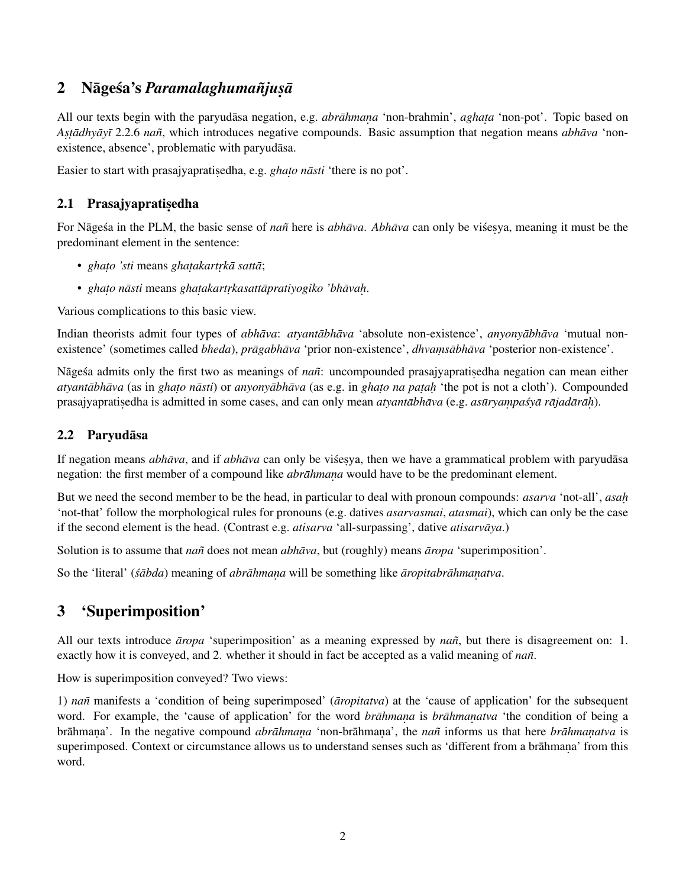# 2 Nāgeśa's *Paramalaghumañjuṣā*

All our texts begin with the paryudasa negation, e.g. *abrahmana* 'non-brahmin', *aghata* 'non-pot'. Topic based on *Astadhyayī* 2.2.6 *nañ*, which introduces negative compounds. Basic assumption that negation means *abhava `non*existence, absence', problematic with paryudasa.

Easier to start with prasajyapratisedha, e.g. *ghato nāsti* 'there is no pot'.

## 2.1 Prasajyaprati<mark>ședha</mark>

For Nāgesa in the PLM, the basic sense of *nañ* here is *abhāva*. *Abhāva* can only be visesya, meaning it must be the predominant element in the sentence:

- *ghato 'sti* means *ghatakartrkā sattā*;
- *ghato nāsti* means *ghatakartrkasattāpratiyogiko 'bhāvaḥ.*

Various complications to this basic view.

Indian theorists admit four types of *abhāva*: *atyantābhāva* 'absolute non-existence', *anyonyābhāva* 'mutual nonexistence' (sometimes called *bheda*), *prāgabhāva* 'prior non-existence', *dhvamsābhāva* 'posterior non-existence'.

Nāgesa admits only the first two as meanings of *nañ*: uncompounded prasajyapratisedha negation can mean either *atyantābhāva* (as in *ghato nāsti*) or *anyonyābhāva* (as e.g. in *ghato na paṭaḥ* 'the pot is not a cloth'). Compounded prasajyapratisedha is admitted in some cases, and can only mean *atyantābhāva* (e.g. *asūryaṃpaśyā rājadārāh*).

### 2.2 Paryudāsa

If negation means *abhāva*, and if *abhāva* can only be visesya, then we have a grammatical problem with paryudāsa negation: the first member of a compound like *abrāhmana* would have to be the predominant element.

But we need the second member to be the head, in particular to deal with pronoun compounds: *asarva* 'not-all', *asah.* 'not-that' follow the morphological rules for pronouns (e.g. datives *asarvasmai*, *atasmai*), which can only be the case if the second element is the head. (Contrast e.g. *atisarva* 'all-surpassing', dative *atisarva a*)

Solution is to assume that *nañ* does not mean *abhava*, but (roughly) means *aropa* 'superimposition'.

So the 'literal' (*śābda*) meaning of *abrāhmana* will be something like *āropitabrāhmanatva*.

## 3 'Superimposition'

All our texts introduce *aropa* 'superimposition' as a meaning expressed by *nañ*, but there is disagreement on: 1. exactly how it is conveyed, and 2. whether it should in fact be accepted as a valid meaning of *nañ*.

How is superimposition conveyed? Two views:

1) *nañ* manifests a 'condition of being superimposed' (*aropitatva*) at the 'cause of application' for the subsequent word. For example, the 'cause of application' for the word *brahmana* is *brahmanatya* 'the condition of being a brāhmana'. In the negative compound *abrāhmana* 'non-brāhmana', the *nañ* informs us that here *brāhmanatva* is superimposed. Context or circumstance allows us to understand senses such as 'different from a brāhmana' from this word.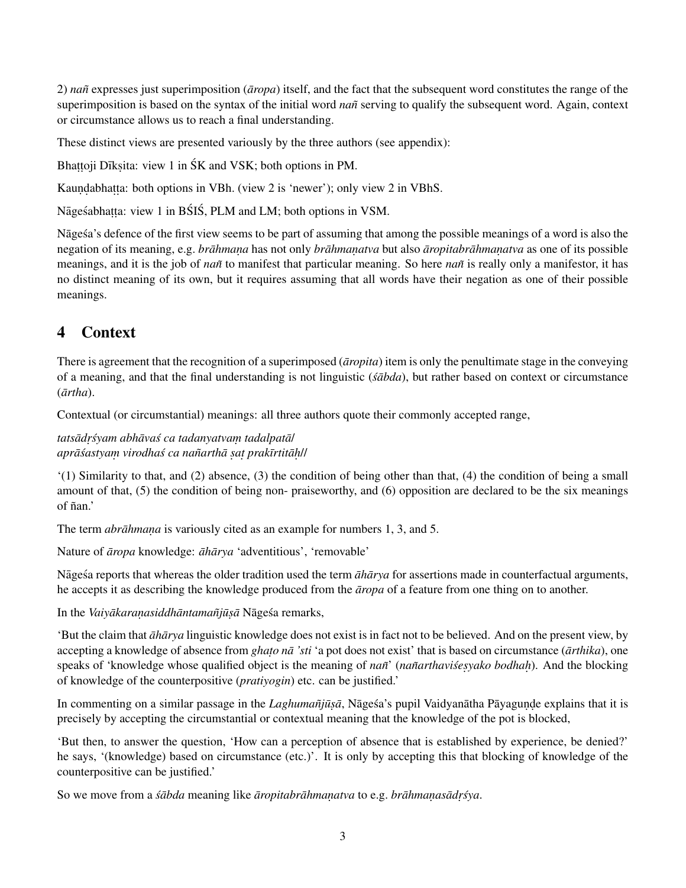2) *nañ* expresses just superimposition ( $\bar{a}ropa$ ) itself, and the fact that the subsequent word constitutes the range of the superimposition is based on the syntax of the initial word *nañ* serving to qualify the subsequent word. Again, context or circumstance allows us to reach a final understanding.

These distinct views are presented variously by the three authors (see appendix):

Bhaṭṭoji Dīkṣita: view 1 in ŚK and VSK; both options in PM.

Kaundabhatta: both options in VBh. (view 2 is 'newer'); only view 2 in VBhS.

Nāgeśabhaṭṭa: view 1 in BŚIŚ, PLM and LM; both options in VSM.

Nāgeśa's defence of the first view seems to be part of assuming that among the possible meanings of a word is also the negation of its meaning, e.g. *brāhmana* has not only *brāhmanatva* but also *āropitabrāhmanatva* as one of its possible meanings, and it is the job of *nañ* to manifest that particular meaning. So here *nañ* is really only a manifestor, it has no distinct meaning of its own, but it requires assuming that all words have their negation as one of their possible meanings.

## 4 Context

There is agreement that the recognition of a superimposed (*aropita*) item is only the penultimate stage in the conveying of a meaning, and that the final understanding is not linguistic (*sābda*), but rather based on context or circumstance  $(ārtha).$ 

Contextual (or circumstantial) meanings: all three authors quote their commonly accepted range,

*tatsadr ¯ . syam abh ´ ava ¯ s ca tadanyatvam ´ . tadalpata¯*/ *apra¯sastyam ´ . virodhas ca na ´ narth ˜ a s ¯ . at . prak¯ırtitah¯.* //

'(1) Similarity to that, and (2) absence, (3) the condition of being other than that, (4) the condition of being a small amount of that, (5) the condition of being non- praiseworthy, and (6) opposition are declared to be the six meanings of ñan.'

The term *abrāhmana* is variously cited as an example for numbers 1, 3, and 5.

Nature of *āropa* knowledge: *āhārya* 'adventitious', 'removable'

Nage sa reports that whereas the older tradition used the term  $\bar{a}h\bar{a}rya$  for assertions made in counterfactual arguments, he accepts it as describing the knowledge produced from the *aropa* of a feature from one thing on to another.

In the *Vaiyākaranasiddhāntamañjūsā* Nāgeśa remarks,

'But the claim that  $\bar{a}h\bar{a}rya$  linguistic knowledge does not exist is in fact not to be believed. And on the present view, by accepting a knowledge of absence from *ghato nā 'sti* 'a pot does not exist' that is based on circumstance (*ārthika*), one speaks of 'knowledge whose qualified object is the meaning of *nañ'* (*nañarthaviśesyako bodhah*). And the blocking of knowledge of the counterpositive (*pratiyogin*) etc. can be justified.'

In commenting on a similar passage in the *Laghumañjūṣā*, Nāgeśa's pupil Vaidyanātha Pāyaguṇḍe explains that it is precisely by accepting the circumstantial or contextual meaning that the knowledge of the pot is blocked,

'But then, to answer the question, 'How can a perception of absence that is established by experience, be denied?' he says, '(knowledge) based on circumstance (etc.)'. It is only by accepting this that blocking of knowledge of the counterpositive can be justified.'

So we move from a *śābda* meaning like *āropitabrāhmaṇatva* to e.g. *brāhmaṇasādṛśya*.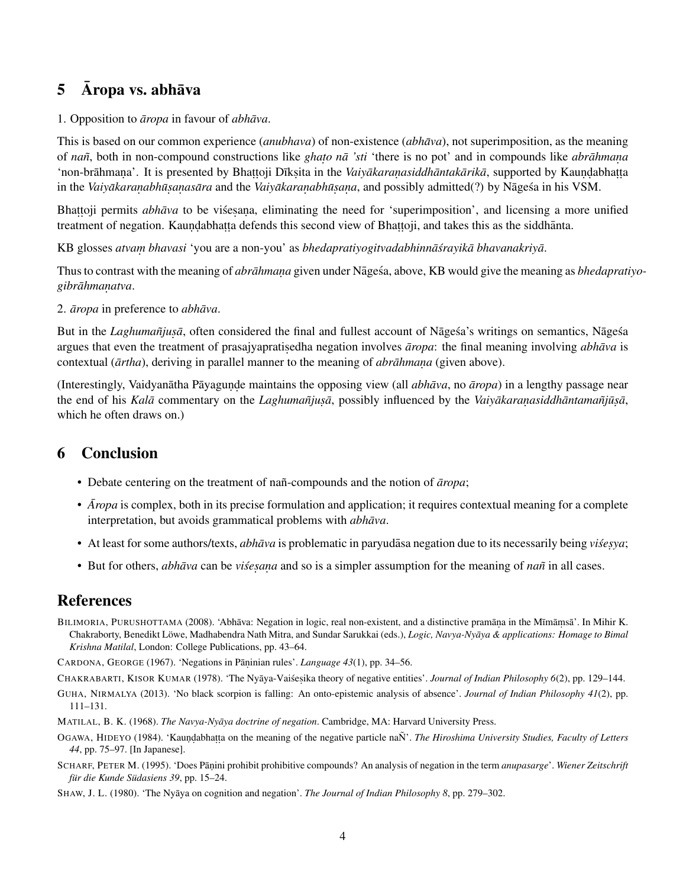## $5$   $\bar{A}$ ropa vs. abhāva

1. Opposition to *āropa* in favour of *abhāva*.

This is based on our common experience (*anubhava*) of non-existence (*abhāva*), not superimposition, as the meaning of *nañ*, both in non-compound constructions like *ghato nā 'sti* 'there is no pot' and in compounds like *abrāhmana* 'non-brāhmaṇa'. It is presented by Bhaṭṭoji Dīkṣita in the Vaiyākaraṇasiddhāntakārikā, supported by Kauṇḍabhaṭṭa *in the Vaiyākaranabhūsanasāra* and the *Vaiyākaranabhūsana*, and possibly admitted(?) by Nāgesa in his VSM.

Bhattoji permits *abhāva* to be visesana, eliminating the need for 'superimposition', and licensing a more unified treatment of negation. Kaundabhatta defends this second view of Bhattoji, and takes this as the siddhānta.

KB glosses *atvam bhavasi* 'you are a non-you' as *bhedapratiyogitvadabhinnā srayikā bhavanakriyā*.

Thus to contrast with the meaning of *abrāhmana* given under Nāgeśa, above, KB would give the meaning as *bhedapratiyogibrahman ¯ . atva*.

2. *āropa* in preference to *abhāva*.

But in the *Laghumañjusā*, often considered the final and fullest account of Nāgesa's writings on semantics, Nāgesa argues that even the treatment of prasajyapratisedha negation involves *āropa*: the final meaning involving *abhāva* is contextual ( $\bar{a}$ rtha), deriving in parallel manner to the meaning of *abrāhmana* (given above).

(Interestingly, Vaidyanātha Pāyagunde maintains the opposing view (all *abhāva*, no *āropa*) in a lengthy passage near the end of his *Kalā* commentary on the *Laghumañjusā*, possibly influenced by the *Vaiyākaranasiddhāntamañjūsā*, which he often draws on.)

## 6 Conclusion

- Debate centering on the treatment of nañ-compounds and the notion of  $\overline{a}$  *ropa*;
- *Aropa* is complex, both in its precise formulation and application; it requires contextual meaning for a complete interpretation, but avoids grammatical problems with *abhava*.
- At least for some authors/texts, *abhāva* is problematic in paryudāsa negation due to its necessarily being *visesya*;
- But for others, *abhāva* can be *visesana* and so is a simpler assumption for the meaning of *nañ* in all cases.

### References

<span id="page-3-3"></span>BILIMORIA, PURUSHOTTAMA (2008). 'Abhāva: Negation in logic, real non-existent, and a distinctive pramāņa in the Mīmāmsā'. In Mihir K. Chakraborty, Benedikt Löwe, Madhabendra Nath Mitra, and Sundar Sarukkai (eds.), *Logic, Navya-Nyāya & applications: Homage to Bimal Krishna Matilal*, London: College Publications, pp. 43–64.

<span id="page-3-5"></span>CARDONA, GEORGE (1967). 'Negations in Pāṇinian rules'. *Language 43*(1), pp. 34–56.

<span id="page-3-1"></span>CHAKRABARTI, KISOR KUMAR (1978). 'The Nyāya-Vaiśesika theory of negative entities'. *Journal of Indian Philosophy 6*(2), pp. 129–144.

<span id="page-3-4"></span>GUHA, NIRMALYA (2013). 'No black scorpion is falling: An onto-epistemic analysis of absence'. *Journal of Indian Philosophy 41*(2), pp. 111–131.

- <span id="page-3-0"></span>MATILAL, B. K. (1968). *The Navya-Nyāya doctrine of negation*. Cambridge, MA: Harvard University Press.
- <span id="page-3-7"></span>OGAWA, HIDEYO (1984). 'Kaundabhatta on the meaning of the negative particle naÑ'. The Hiroshima University Studies, Faculty of Letters *44*, pp. 75–97. [In Japanese].
- <span id="page-3-6"></span>SCHARF, PETER M. (1995). 'Does Pāṇini prohibit prohibitive compounds? An analysis of negation in the term *anupasarge'*. *Wiener Zeitschrift für die Kunde Südasiens 39*, pp. 15–24.

<span id="page-3-2"></span>SHAW, J. L. (1980). 'The Nyaya on cognition and negation'. *The Journal of Indian Philosophy 8*, pp. 279–302.